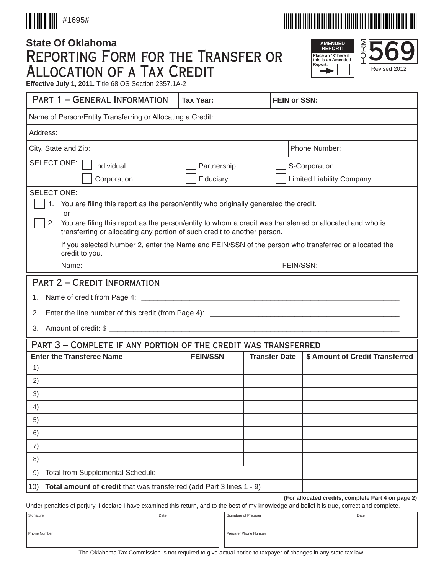



# **State Of Oklahoma** Reporting Form for the Transfer or Allocation of a Tax Credit





**Effective July 1, 2011.** Title 68 OS Section 2357.1A-2

| PART 1 - GENERAL INFORMATION                                                                                                                                                                                                                                                                                                                                                                                                               | <b>Tax Year:</b>             | <b>FEIN or SSN:</b>                                     |  |  |  |  |
|--------------------------------------------------------------------------------------------------------------------------------------------------------------------------------------------------------------------------------------------------------------------------------------------------------------------------------------------------------------------------------------------------------------------------------------------|------------------------------|---------------------------------------------------------|--|--|--|--|
| Name of Person/Entity Transferring or Allocating a Credit:                                                                                                                                                                                                                                                                                                                                                                                 |                              |                                                         |  |  |  |  |
| Address:                                                                                                                                                                                                                                                                                                                                                                                                                                   |                              |                                                         |  |  |  |  |
| City, State and Zip:                                                                                                                                                                                                                                                                                                                                                                                                                       |                              | Phone Number:                                           |  |  |  |  |
| SELECT ONE:<br>Individual                                                                                                                                                                                                                                                                                                                                                                                                                  | Partnership<br>S-Corporation |                                                         |  |  |  |  |
| Corporation                                                                                                                                                                                                                                                                                                                                                                                                                                | Fiduciary                    | <b>Limited Liability Company</b>                        |  |  |  |  |
| <b>SELECT ONE:</b><br>1 <sub>1</sub><br>You are filing this report as the person/entity who originally generated the credit.<br>-or-<br>You are filing this report as the person/entity to whom a credit was transferred or allocated and who is<br>2.<br>transferring or allocating any portion of such credit to another person.<br>If you selected Number 2, enter the Name and FEIN/SSN of the person who transferred or allocated the |                              |                                                         |  |  |  |  |
| credit to you.                                                                                                                                                                                                                                                                                                                                                                                                                             |                              |                                                         |  |  |  |  |
| <b>PART 2 - CREDIT INFORMATION</b><br>1.<br>2.                                                                                                                                                                                                                                                                                                                                                                                             |                              |                                                         |  |  |  |  |
| PART 3 - COMPLETE IF ANY PORTION OF THE CREDIT WAS TRANSFERRED                                                                                                                                                                                                                                                                                                                                                                             |                              |                                                         |  |  |  |  |
| <b>Enter the Transferee Name</b>                                                                                                                                                                                                                                                                                                                                                                                                           | <b>FEIN/SSN</b>              | \$ Amount of Credit Transferred<br><b>Transfer Date</b> |  |  |  |  |
| 1)                                                                                                                                                                                                                                                                                                                                                                                                                                         |                              |                                                         |  |  |  |  |
| 2)                                                                                                                                                                                                                                                                                                                                                                                                                                         |                              |                                                         |  |  |  |  |
| 3)                                                                                                                                                                                                                                                                                                                                                                                                                                         |                              |                                                         |  |  |  |  |
| 4)                                                                                                                                                                                                                                                                                                                                                                                                                                         |                              |                                                         |  |  |  |  |
| 5)                                                                                                                                                                                                                                                                                                                                                                                                                                         |                              |                                                         |  |  |  |  |
| 6)                                                                                                                                                                                                                                                                                                                                                                                                                                         |                              |                                                         |  |  |  |  |
| 7)                                                                                                                                                                                                                                                                                                                                                                                                                                         |                              |                                                         |  |  |  |  |
| 8)                                                                                                                                                                                                                                                                                                                                                                                                                                         |                              |                                                         |  |  |  |  |
| <b>Total from Supplemental Schedule</b><br>9)                                                                                                                                                                                                                                                                                                                                                                                              |                              |                                                         |  |  |  |  |
| Total amount of credit that was transferred (add Part 3 lines 1 - 9)<br>10)<br>(For allocated credits, complete Part 4 on page 2)                                                                                                                                                                                                                                                                                                          |                              |                                                         |  |  |  |  |
| Under penalties of perjury, I declare I have examined this return, and to the best of my knowledge and belief it is true, correct and complete.<br>Signature<br>Signature of Preparer<br>Date<br>Date                                                                                                                                                                                                                                      |                              |                                                         |  |  |  |  |
| Phone Number<br>Preparer Phone Number                                                                                                                                                                                                                                                                                                                                                                                                      |                              |                                                         |  |  |  |  |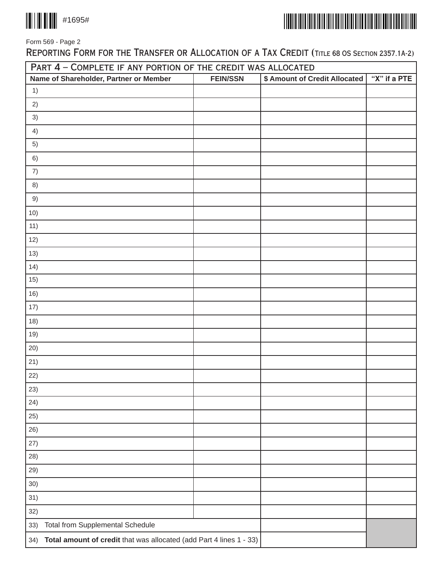



Form 569 - Page 2

REPORTING FORM FOR THE TRANSFER OR ALLOCATION OF A TAX CREDIT (TITLE 68 OS SECTION 2357.1A-2)

| PART 4 - COMPLETE IF ANY PORTION OF THE CREDIT WAS ALLOCATED               |                 |                               |              |  |  |
|----------------------------------------------------------------------------|-----------------|-------------------------------|--------------|--|--|
| Name of Shareholder, Partner or Member                                     | <b>FEIN/SSN</b> | \$ Amount of Credit Allocated | "X" if a PTE |  |  |
| 1)                                                                         |                 |                               |              |  |  |
| 2)                                                                         |                 |                               |              |  |  |
| 3)                                                                         |                 |                               |              |  |  |
| 4)                                                                         |                 |                               |              |  |  |
| 5)                                                                         |                 |                               |              |  |  |
| 6)                                                                         |                 |                               |              |  |  |
| 7)                                                                         |                 |                               |              |  |  |
| 8)                                                                         |                 |                               |              |  |  |
| 9)                                                                         |                 |                               |              |  |  |
| 10)                                                                        |                 |                               |              |  |  |
| 11)                                                                        |                 |                               |              |  |  |
| 12)                                                                        |                 |                               |              |  |  |
| 13)                                                                        |                 |                               |              |  |  |
| 14)                                                                        |                 |                               |              |  |  |
| 15)                                                                        |                 |                               |              |  |  |
| 16)                                                                        |                 |                               |              |  |  |
| 17)                                                                        |                 |                               |              |  |  |
| 18)                                                                        |                 |                               |              |  |  |
| 19)                                                                        |                 |                               |              |  |  |
| 20)                                                                        |                 |                               |              |  |  |
| 21)                                                                        |                 |                               |              |  |  |
| 22)                                                                        |                 |                               |              |  |  |
| 23)                                                                        |                 |                               |              |  |  |
| 24)                                                                        |                 |                               |              |  |  |
| 25)                                                                        |                 |                               |              |  |  |
| 26)                                                                        |                 |                               |              |  |  |
| 27)                                                                        |                 |                               |              |  |  |
| 28)                                                                        |                 |                               |              |  |  |
| 29)                                                                        |                 |                               |              |  |  |
| 30)                                                                        |                 |                               |              |  |  |
| 31)                                                                        |                 |                               |              |  |  |
| 32)                                                                        |                 |                               |              |  |  |
| <b>Total from Supplemental Schedule</b><br>33)                             |                 |                               |              |  |  |
| Total amount of credit that was allocated (add Part 4 lines 1 - 33)<br>34) |                 |                               |              |  |  |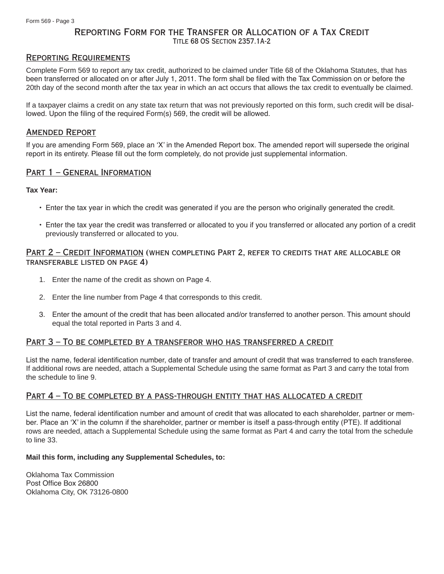# Reporting Form for the Transfer or Allocation of a Tax Credit Title 68 OS Section 2357.1A-2

# Reporting Requirements

Complete Form 569 to report any tax credit, authorized to be claimed under Title 68 of the Oklahoma Statutes, that has been transferred or allocated on or after July 1, 2011. The form shall be filed with the Tax Commission on or before the 20th day of the second month after the tax year in which an act occurs that allows the tax credit to eventually be claimed.

If a taxpayer claims a credit on any state tax return that was not previously reported on this form, such credit will be disallowed. Upon the filing of the required Form(s) 569, the credit will be allowed.

### Amended Report

If you are amending Form 569, place an 'X' in the Amended Report box. The amended report will supersede the original report in its entirety. Please fill out the form completely, do not provide just supplemental information.

# PART 1 - GENERAL INFORMATION

#### **Tax Year:**

- • Enter the tax year in which the credit was generated if you are the person who originally generated the credit.
- • Enter the tax year the credit was transferred or allocated to you if you transferred or allocated any portion of a credit previously transferred or allocated to you.

## Part 2 – Credit Information (when completing Part 2, refer to credits that are allocable or transferable listed on page 4)

- 1. Enter the name of the credit as shown on Page 4.
- 2. Enter the line number from Page 4 that corresponds to this credit.
- 3. Enter the amount of the credit that has been allocated and/or transferred to another person. This amount should equal the total reported in Parts 3 and 4.

# PART 3 - TO BE COMPLETED BY A TRANSFEROR WHO HAS TRANSFERRED A CREDIT

List the name, federal identification number, date of transfer and amount of credit that was transferred to each transferee. If additional rows are needed, attach a Supplemental Schedule using the same format as Part 3 and carry the total from the schedule to line 9.

#### Part 4 – To be completed by a pass-through entity that has allocated a credit

List the name, federal identification number and amount of credit that was allocated to each shareholder, partner or member. Place an 'X' in the column if the shareholder, partner or member is itself a pass-through entity (PTE). If additional rows are needed, attach a Supplemental Schedule using the same format as Part 4 and carry the total from the schedule to line 33.

#### **Mail this form, including any Supplemental Schedules, to:**

Oklahoma Tax Commission Post Office Box 26800 Oklahoma City, OK 73126-0800